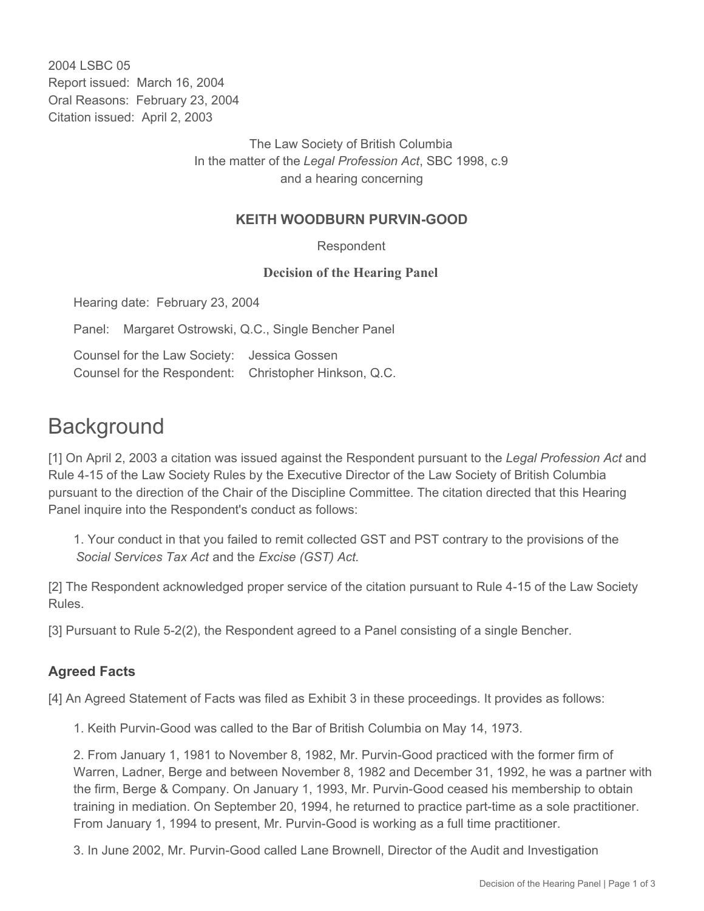2004 LSBC 05 Report issued: March 16, 2004 Oral Reasons: February 23, 2004 Citation issued: April 2, 2003

> The Law Society of British Columbia In the matter of the *Legal Profession Act*, SBC 1998, c.9 and a hearing concerning

## **KEITH WOODBURN PURVIN-GOOD**

Respondent

## **Decision of the Hearing Panel**

Hearing date: February 23, 2004

Panel: Margaret Ostrowski, Q.C., Single Bencher Panel

Counsel for the Law Society: Jessica Gossen Counsel for the Respondent: Christopher Hinkson, Q.C.

## **Background**

[1] On April 2, 2003 a citation was issued against the Respondent pursuant to the *Legal Profession Act* and Rule 4-15 of the Law Society Rules by the Executive Director of the Law Society of British Columbia pursuant to the direction of the Chair of the Discipline Committee. The citation directed that this Hearing Panel inquire into the Respondent's conduct as follows:

1. Your conduct in that you failed to remit collected GST and PST contrary to the provisions of the *Social Services Tax Act* and the *Excise (GST) Act.*

[2] The Respondent acknowledged proper service of the citation pursuant to Rule 4-15 of the Law Society Rules.

[3] Pursuant to Rule 5-2(2), the Respondent agreed to a Panel consisting of a single Bencher.

## **Agreed Facts**

[4] An Agreed Statement of Facts was filed as Exhibit 3 in these proceedings. It provides as follows:

1. Keith Purvin-Good was called to the Bar of British Columbia on May 14, 1973.

2. From January 1, 1981 to November 8, 1982, Mr. Purvin-Good practiced with the former firm of Warren, Ladner, Berge and between November 8, 1982 and December 31, 1992, he was a partner with the firm, Berge & Company. On January 1, 1993, Mr. Purvin-Good ceased his membership to obtain training in mediation. On September 20, 1994, he returned to practice part-time as a sole practitioner. From January 1, 1994 to present, Mr. Purvin-Good is working as a full time practitioner.

3. In June 2002, Mr. Purvin-Good called Lane Brownell, Director of the Audit and Investigation